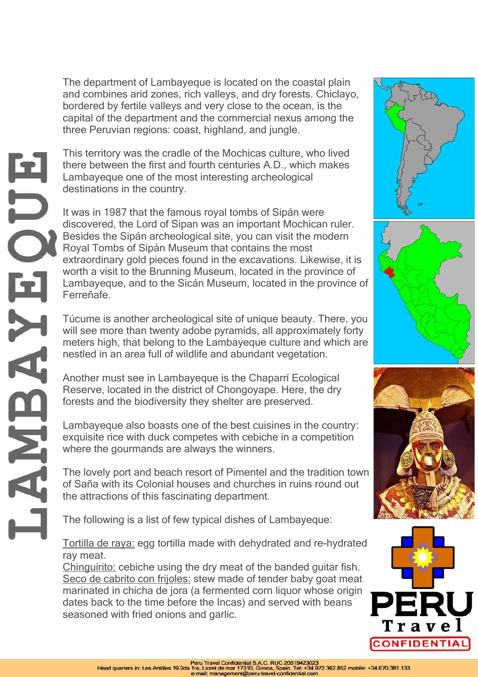The department of Lambayeque is located on the coastal plain and combines arid zones, rich valleys, and dry forests. Chiclayo, bordered by fertile valleys and very close to the ocean, is the capital of the department and the commercial nexus among the three Peruvian regions: coast, highland, and jungle.

This territory was the cradle of the Mochicas culture, who lived there between the first and fourth centuries A.D., which makes Lambayeque one of the most interesting archeological destinations in the country.

It was in 1987 that the famous royal tombs of Sipán were discovered, the Lord of Sipan was an important Mochican ruler. Besides the Sipán archeological site, you can visit the modern Royal Tombs of Sipán Museum that contains the most extraordinary gold pieces found in the excavations. Likewise, it is worth a visit to the Brunning Museum, located in the province of Lambayeque, and to the Sicán Museum, located in the province of Ferreñafe.

Túcume is another archeological site of unique beauty. There, you will see more than twenty adobe pyramids, all approximately forty meters high, that belong to the Lambayeque culture and which are nestled in an area full of wildlife and abundant vegetation.

Another must see in Lambayeque is the Chaparrí Ecological Reserve, located in the district of Chongoyape. Here, the dry forests and the biodiversity they shelter are preserved.

Lambayeque also boasts one of the best cuisines in the country: exquisite rice with duck competes with cebiche in a competition where the gourmands are always the winners.

The lovely port and beach resort of Pimentel and the tradition town of Saña with its Colonial houses and churches in ruins round out the attractions of this fascinating department.

The following is a list of few typical dishes of Lambayeque:

Tortilla de raya: egg tortilla made with dehydrated and re-hydrated ray meat.

Chinguirito: cebiche using the dry meat of the banded guitar fish. Seco de cabrito con frijoles: stew made of tender baby goat meat marinated in chicha de jora (a fermented corn liquor whose origin dates back to the time before the Incas) and served with beans seasoned with fried onions and garlic.